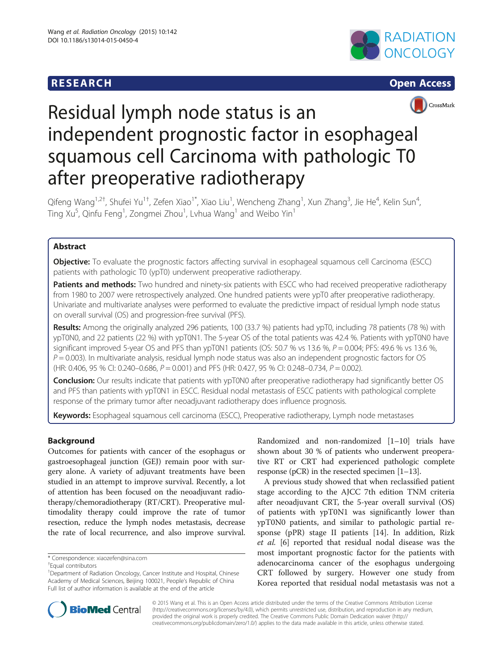# **RESEARCH RESEARCH CONSUMING ACCESS**







# Residual lymph node status is an independent prognostic factor in esophageal squamous cell Carcinoma with pathologic T0 after preoperative radiotherapy

Qifeng Wang<sup>1,2†</sup>, Shufei Yu<sup>1†</sup>, Zefen Xiao<sup>1\*</sup>, Xiao Liu<sup>1</sup>, Wencheng Zhang<sup>1</sup>, Xun Zhang<sup>3</sup>, Jie He<sup>4</sup>, Kelin Sun<sup>4</sup> , Ting Xu<sup>5</sup>, Qinfu Feng<sup>1</sup>, Zongmei Zhou<sup>1</sup>, Lvhua Wang<sup>1</sup> and Weibo Yin<sup>1</sup>

# Abstract

Objective: To evaluate the prognostic factors affecting survival in esophageal squamous cell Carcinoma (ESCC) patients with pathologic T0 (ypT0) underwent preoperative radiotherapy.

Patients and methods: Two hundred and ninety-six patients with ESCC who had received preoperative radiotherapy from 1980 to 2007 were retrospectively analyzed. One hundred patients were ypT0 after preoperative radiotherapy. Univariate and multivariate analyses were performed to evaluate the predictive impact of residual lymph node status on overall survival (OS) and progression-free survival (PFS).

Results: Among the originally analyzed 296 patients, 100 (33.7 %) patients had ypT0, including 78 patients (78 %) with ypT0N0, and 22 patients (22 %) with ypT0N1. The 5-year OS of the total patients was 42.4 %. Patients with ypT0N0 have significant improved 5-year OS and PFS than ypT0N1 patients (OS: 50.7 % vs 13.6 %,  $P = 0.004$ ; PFS: 49.6 % vs 13.6 %,  $P = 0.003$ ). In multivariate analysis, residual lymph node status was also an independent prognostic factors for OS (HR: 0.406, 95 % CI: 0.240–0.686,  $P = 0.001$ ) and PFS (HR: 0.427, 95 % CI: 0.248–0.734,  $P = 0.002$ ).

Conclusion: Our results indicate that patients with ypT0N0 after preoperative radiotherapy had significantly better OS and PFS than patients with ypT0N1 in ESCC. Residual nodal metastasis of ESCC patients with pathological complete response of the primary tumor after neoadjuvant radiotherapy does influence prognosis.

Keywords: Esophageal squamous cell carcinoma (ESCC), Preoperative radiotherapy, Lymph node metastases

# Background

Outcomes for patients with cancer of the esophagus or gastroesophageal junction (GEJ) remain poor with surgery alone. A variety of adjuvant treatments have been studied in an attempt to improve survival. Recently, a lot of attention has been focused on the neoadjuvant radiotherapy/chemoradiotherapy (RT/CRT). Preoperative multimodality therapy could improve the rate of tumor resection, reduce the lymph nodes metastasis, decrease the rate of local recurrence, and also improve survival.

Randomized and non-randomized [\[1](#page-4-0)–[10](#page-4-0)] trials have shown about 30 % of patients who underwent preoperative RT or CRT had experienced pathologic complete response (pCR) in the resected specimen [\[1](#page-4-0)–[13\]](#page-4-0).

A previous study showed that when reclassified patient stage according to the AJCC 7th edition TNM criteria after neoadjuvant CRT, the 5-year overall survival (OS) of patients with ypT0N1 was significantly lower than ypT0N0 patients, and similar to pathologic partial response (pPR) stage II patients [[14\]](#page-4-0). In addition, Rizk et al. [[6\]](#page-4-0) reported that residual nodal disease was the most important prognostic factor for the patients with adenocarcinoma cancer of the esophagus undergoing CRT followed by surgery. However one study from Korea reported that residual nodal metastasis was not a



© 2015 Wang et al. This is an Open Access article distributed under the terms of the Creative Commons Attribution License [\(http://creativecommons.org/licenses/by/4.0\)](http://creativecommons.org/licenses/by/4.0), which permits unrestricted use, distribution, and reproduction in any medium, provided the original work is properly credited. The Creative Commons Public Domain Dedication waiver [\(http://](http://creativecommons.org/publicdomain/zero/1.0/) [creativecommons.org/publicdomain/zero/1.0/\)](http://creativecommons.org/publicdomain/zero/1.0/) applies to the data made available in this article, unless otherwise stated.

<sup>\*</sup> Correspondence: [xiaozefen@sina.com](mailto:xiaozefen@sina.com) †

Equal contributors

<sup>&</sup>lt;sup>1</sup>Department of Radiation Oncology, Cancer Institute and Hospital, Chinese Academy of Medical Sciences, Beijing 100021, People's Republic of China Full list of author information is available at the end of the article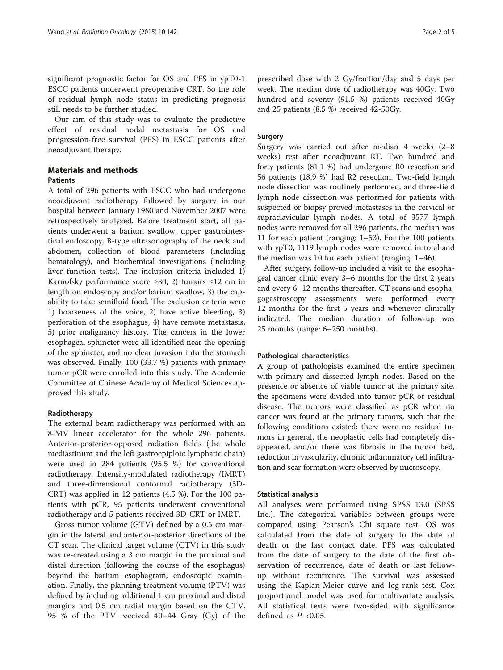significant prognostic factor for OS and PFS in ypT0-1 ESCC patients underwent preoperative CRT. So the role of residual lymph node status in predicting prognosis still needs to be further studied.

Our aim of this study was to evaluate the predictive effect of residual nodal metastasis for OS and progression-free survival (PFS) in ESCC patients after neoadjuvant therapy.

# Materials and methods

#### **Patients**

A total of 296 patients with ESCC who had undergone neoadjuvant radiotherapy followed by surgery in our hospital between January 1980 and November 2007 were retrospectively analyzed. Before treatment start, all patients underwent a barium swallow, upper gastrointestinal endoscopy, B-type ultrasonography of the neck and abdomen, collection of blood parameters (including hematology), and biochemical investigations (including liver function tests). The inclusion criteria included 1) Karnofsky performance score ≥80, 2) tumors ≤12 cm in length on endoscopy and/or barium swallow, 3) the capability to take semifluid food. The exclusion criteria were 1) hoarseness of the voice, 2) have active bleeding, 3) perforation of the esophagus, 4) have remote metastasis, 5) prior malignancy history. The cancers in the lower esophageal sphincter were all identified near the opening of the sphincter, and no clear invasion into the stomach was observed. Finally, 100 (33.7 %) patients with primary tumor pCR were enrolled into this study. The Academic Committee of Chinese Academy of Medical Sciences approved this study.

## Radiotherapy

The external beam radiotherapy was performed with an 8-MV linear accelerator for the whole 296 patients. Anterior-posterior-opposed radiation fields (the whole mediastinum and the left gastroepiploic lymphatic chain) were used in 284 patients (95.5 %) for conventional radiotherapy. Intensity-modulated radiotherapy (IMRT) and three-dimensional conformal radiotherapy (3D-CRT) was applied in 12 patients (4.5 %). For the 100 patients with pCR, 95 patients underwent conventional radiotherapy and 5 patients received 3D-CRT or IMRT.

Gross tumor volume (GTV) defined by a 0.5 cm margin in the lateral and anterior-posterior directions of the CT scan. The clinical target volume (CTV) in this study was re-created using a 3 cm margin in the proximal and distal direction (following the course of the esophagus) beyond the barium esophagram, endoscopic examination. Finally, the planning treatment volume (PTV) was defined by including additional 1-cm proximal and distal margins and 0.5 cm radial margin based on the CTV. 95 % of the PTV received 40–44 Gray (Gy) of the

prescribed dose with 2 Gy/fraction/day and 5 days per week. The median dose of radiotherapy was 40Gy. Two hundred and seventy (91.5 %) patients received 40Gy and 25 patients (8.5 %) received 42-50Gy.

## Surgery

Surgery was carried out after median 4 weeks (2–8 weeks) rest after neoadjuvant RT. Two hundred and forty patients (81.1 %) had undergone R0 resection and 56 patients (18.9 %) had R2 resection. Two-field lymph node dissection was routinely performed, and three-field lymph node dissection was performed for patients with suspected or biopsy proved metastases in the cervical or supraclavicular lymph nodes. A total of 3577 lymph nodes were removed for all 296 patients, the median was 11 for each patient (ranging: 1–53). For the 100 patients with ypT0, 1119 lymph nodes were removed in total and the median was 10 for each patient (ranging: 1–46).

After surgery, follow-up included a visit to the esophageal cancer clinic every 3–6 months for the first 2 years and every 6–12 months thereafter. CT scans and esophagogastroscopy assessments were performed every 12 months for the first 5 years and whenever clinically indicated. The median duration of follow-up was 25 months (range: 6–250 months).

#### Pathological characteristics

A group of pathologists examined the entire specimen with primary and dissected lymph nodes. Based on the presence or absence of viable tumor at the primary site, the specimens were divided into tumor pCR or residual disease. The tumors were classified as pCR when no cancer was found at the primary tumors, such that the following conditions existed: there were no residual tumors in general, the neoplastic cells had completely disappeared, and/or there was fibrosis in the tumor bed, reduction in vascularity, chronic inflammatory cell infiltration and scar formation were observed by microscopy.

#### Statistical analysis

All analyses were performed using SPSS 13.0 (SPSS Inc.). The categorical variables between groups were compared using Pearson's Chi square test. OS was calculated from the date of surgery to the date of death or the last contact date. PFS was calculated from the date of surgery to the date of the first observation of recurrence, date of death or last followup without recurrence. The survival was assessed using the Kaplan-Meier curve and log-rank test. Cox proportional model was used for multivariate analysis. All statistical tests were two-sided with significance defined as  $P < 0.05$ .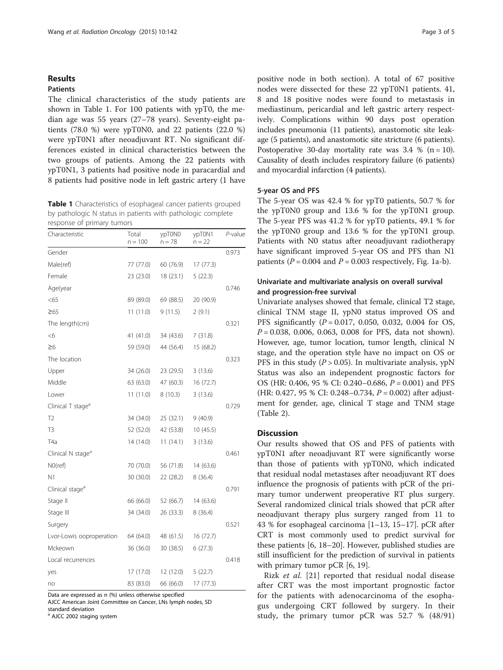#### Results

## Patients

The clinical characteristics of the study patients are shown in Table 1. For 100 patients with ypT0, the median age was 55 years (27–78 years). Seventy-eight patients (78.0 %) were ypT0N0, and 22 patients (22.0 %) were ypT0N1 after neoadjuvant RT. No significant differences existed in clinical characteristics between the two groups of patients. Among the 22 patients with ypT0N1, 3 patients had positive node in paracardial and 8 patients had positive node in left gastric artery (1 have

Table 1 Characteristics of esophageal cancer patients grouped by pathologic N status in patients with pathologic complete response of primary tumors

| Characteristic                | Total<br>$n = 100$ | ypT0N0<br>n = 78 | ypT0N1<br>$n = 22$ | P-value |
|-------------------------------|--------------------|------------------|--------------------|---------|
| Gender                        |                    |                  |                    | 0.973   |
| Male(ref)                     | 77 (77.0)          | 60 (76.9)        | 17(77.3)           |         |
| Female                        | 23 (23.0)          | 18 (23.1)        | 5(22.3)            |         |
| Age(year                      |                    |                  |                    | 0.746   |
| < 65                          | 89 (89.0)          | 69 (88.5)        | 20 (90.9)          |         |
| $\geq 65$                     | 11(11.0)           | 9(11.5)          | 2(9.1)             |         |
| The length(cm)                |                    |                  |                    | 0.321   |
| <6                            | 41 (41.0)          | 34 (43.6)        | 7(31.8)            |         |
| ≥6                            | 59 (59.0)          | 44 (56.4)        | 15 (68.2)          |         |
| The location                  |                    |                  |                    | 0.323   |
| Upper                         | 34 (26.0)          | 23 (29.5)        | 3(13.6)            |         |
| Middle                        | 63 (63.0)          | 47 (60.3)        | 16 (72.7)          |         |
| Lower                         | 11(11.0)           | 8(10.3)          | 3(13.6)            |         |
| Clinical T stage <sup>a</sup> |                    |                  |                    | 0.729   |
| T <sub>2</sub>                | 34 (34.0)          | 25 (32.1)        | 9(40.9)            |         |
| T3                            | 52 (52.0)          | 42 (53.8)        | 10(45.5)           |         |
| T <sub>4</sub> a              | 14 (14.0)          | 11(14.1)         | 3(13.6)            |         |
| Clinical N stage <sup>a</sup> |                    |                  |                    | 0.461   |
| $NO$ (ref)                    | 70 (70.0)          | 56 (71.8)        | 14 (63.6)          |         |
| N1                            | 30 (30.0)          | 22 (28.2)        | 8 (36.4)           |         |
| Clinical stage <sup>a</sup>   |                    |                  |                    | 0.791   |
| Stage II                      | 66 (66.0)          | 52 (66.7)        | 14 (63.6)          |         |
| Stage III                     | 34 (34.0)          | 26 (33.3)        | 8 (36.4)           |         |
| Surgery                       |                    |                  |                    | 0.521   |
| Lvor-Lowis ooproperation      | 64 (64.0)          | 48 (61.5)        | 16 (72.7)          |         |
| Mckeown                       | 36 (36.0)          | 30 (38.5)        | 6(27.3)            |         |
| Local recurrences             |                    |                  |                    | 0.418   |
| yes                           | 17 (17.0)          | 12 (12.0)        | 5(22.7)            |         |
| no                            | 83 (83.0)          | 66 (66.0)        | 17 (77.3)          |         |

Data are expressed as n (%) unless otherwise specified

AJCC American Joint Committee on Cancer, LNs lymph nodes, SD standard deviation

a AJCC 2002 staging system

positive node in both section). A total of 67 positive nodes were dissected for these 22 ypT0N1 patients. 41, 8 and 18 positive nodes were found to metastasis in mediastinum, pericardial and left gastric artery respectively. Complications within 90 days post operation includes pneumonia (11 patients), anastomotic site leakage (5 patients), and anastomotic site stricture (6 patients). Postoperative 30-day mortality rate was  $3.4 \%$  (n = 10). Causality of death includes respiratory failure (6 patients) and myocardial infarction (4 patients).

#### 5-year OS and PFS

The 5-year OS was 42.4 % for ypT0 patients, 50.7 % for the ypT0N0 group and 13.6 % for the ypT0N1 group. The 5-year PFS was 41.2 % for ypT0 patients, 49.1 % for the ypT0N0 group and 13.6 % for the ypT0N1 group. Patients with N0 status after neoadjuvant radiotherapy have significant improved 5-year OS and PFS than N1 patients ( $P = 0.004$  and  $P = 0.003$  respectively, Fig. [1a-b\)](#page-3-0).

# Univariate and multivariate analysis on overall survival and progression-free survival

Univariate analyses showed that female, clinical T2 stage, clinical TNM stage II, ypN0 status improved OS and PFS significantly  $(P = 0.017, 0.050, 0.032, 0.004$  for OS,  $P = 0.038, 0.006, 0.063, 0.008$  for PFS, data not shown). However, age, tumor location, tumor length, clinical N stage, and the operation style have no impact on OS or PFS in this study ( $P > 0.05$ ). In multivariate analysis, ypN Status was also an independent prognostic factors for OS (HR: 0.406, 95 % CI: 0.240–0.686, P = 0.001) and PFS (HR: 0.427, 95 % CI: 0.248–0.734,  $P = 0.002$ ) after adjustment for gender, age, clinical T stage and TNM stage (Table [2\)](#page-3-0).

## **Discussion**

Our results showed that OS and PFS of patients with ypT0N1 after neoadjuvant RT were significantly worse than those of patients with ypT0N0, which indicated that residual nodal metastases after neoadjuvant RT does influence the prognosis of patients with pCR of the primary tumor underwent preoperative RT plus surgery. Several randomized clinical trials showed that pCR after neoadjuvant therapy plus surgery ranged from 11 to 43 % for esophageal carcinoma [[1](#page-4-0)–[13, 15](#page-4-0)–[17](#page-4-0)]. pCR after CRT is most commonly used to predict survival for these patients [\[6](#page-4-0), [18](#page-4-0)–[20\]](#page-4-0). However, published studies are still insufficient for the prediction of survival in patients with primary tumor pCR [\[6, 19\]](#page-4-0).

Rizk et al. [[21\]](#page-4-0) reported that residual nodal disease after CRT was the most important prognostic factor for the patients with adenocarcinoma of the esophagus undergoing CRT followed by surgery. In their study, the primary tumor pCR was 52.7 % (48/91)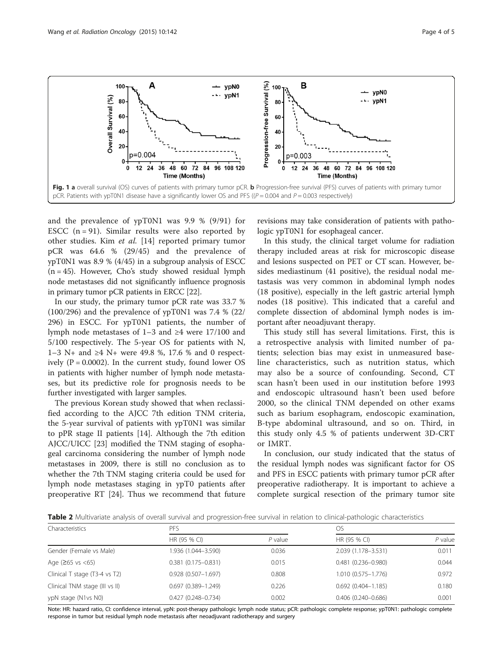<span id="page-3-0"></span>

and the prevalence of ypT0N1 was 9.9 % (9/91) for ESCC  $(n = 91)$ . Similar results were also reported by other studies. Kim et al. [\[14](#page-4-0)] reported primary tumor pCR was 64.6 % (29/45) and the prevalence of ypT0N1 was 8.9 % (4/45) in a subgroup analysis of ESCC (n = 45). However, Cho's study showed residual lymph node metastases did not significantly influence prognosis in primary tumor pCR patients in ERCC [\[22\]](#page-4-0).

In our study, the primary tumor pCR rate was 33.7 % (100/296) and the prevalence of ypT0N1 was 7.4 % (22/ 296) in ESCC. For ypT0N1 patients, the number of lymph node metastases of 1–3 and ≥4 were 17/100 and 5/100 respectively. The 5-year OS for patients with N, 1–3 N+ and ≥4 N+ were 49.8 %, 17.6 % and 0 respectively ( $P = 0.0002$ ). In the current study, found lower OS in patients with higher number of lymph node metastases, but its predictive role for prognosis needs to be further investigated with larger samples.

The previous Korean study showed that when reclassified according to the AJCC 7th edition TNM criteria, the 5-year survival of patients with ypT0N1 was similar to pPR stage II patients [\[14](#page-4-0)]. Although the 7th edition AJCC/UICC [\[23](#page-4-0)] modified the TNM staging of esophageal carcinoma considering the number of lymph node metastases in 2009, there is still no conclusion as to whether the 7th TNM staging criteria could be used for lymph node metastases staging in ypT0 patients after preoperative RT [[24](#page-4-0)]. Thus we recommend that future

revisions may take consideration of patients with pathologic ypT0N1 for esophageal cancer.

In this study, the clinical target volume for radiation therapy included areas at risk for microscopic disease and lesions suspected on PET or CT scan. However, besides mediastinum (41 positive), the residual nodal metastasis was very common in abdominal lymph nodes (18 positive), especially in the left gastric arterial lymph nodes (18 positive). This indicated that a careful and complete dissection of abdominal lymph nodes is important after neoadjuvant therapy.

This study still has several limitations. First, this is a retrospective analysis with limited number of patients; selection bias may exist in unmeasured baseline characteristics, such as nutrition status, which may also be a source of confounding. Second, CT scan hasn't been used in our institution before 1993 and endoscopic ultrasound hasn't been used before 2000, so the clinical TNM depended on other exams such as barium esophagram, endoscopic examination, B-type abdominal ultrasound, and so on. Third, in this study only 4.5 % of patients underwent 3D-CRT or IMRT.

In conclusion, our study indicated that the status of the residual lymph nodes was significant factor for OS and PFS in ESCC patients with primary tumor pCR after preoperative radiotherapy. It is important to achieve a complete surgical resection of the primary tumor site

Table 2 Multivariate analysis of overall survival and progression-free survival in relation to clinical-pathologic characteristics

| Characteristics                | <b>PFS</b>             |           |                        | OS.       |  |
|--------------------------------|------------------------|-----------|------------------------|-----------|--|
|                                | HR (95 % CI)           | $P$ value | HR (95 % CI)           | $P$ value |  |
| Gender (Female vs Male)        | 1.936 (1.044-3.590)    | 0.036     | 2.039 (1.178-3.531)    | 0.011     |  |
| Age $(265 \text{ vs } < 65)$   | $0.381(0.175 - 0.831)$ | 0.015     | $0.481(0.236 - 0.980)$ | 0.044     |  |
| Clinical T stage (T3-4 vs T2)  | $0.928(0.507 - 1.697)$ | 0.808     | 1.010 (0.575-1.776)    | 0.972     |  |
| Clinical TNM stage (III vs II) | $0.697(0.389 - 1.249)$ | 0.226     | $0.692(0.404 - 1.185)$ | 0.180     |  |
| ypN stage (N1vs N0)            | $0.427(0.248 - 0.734)$ | 0.002     | $0.406(0.240 - 0.686)$ | 0.001     |  |

Note: HR: hazard ratio, CI: confidence interval, ypN: post-therapy pathologic lymph node status; pCR: pathologic complete response; ypT0N1: pathologic complete response in tumor but residual lymph node metastasis after neoadjuvant radiotherapy and surgery